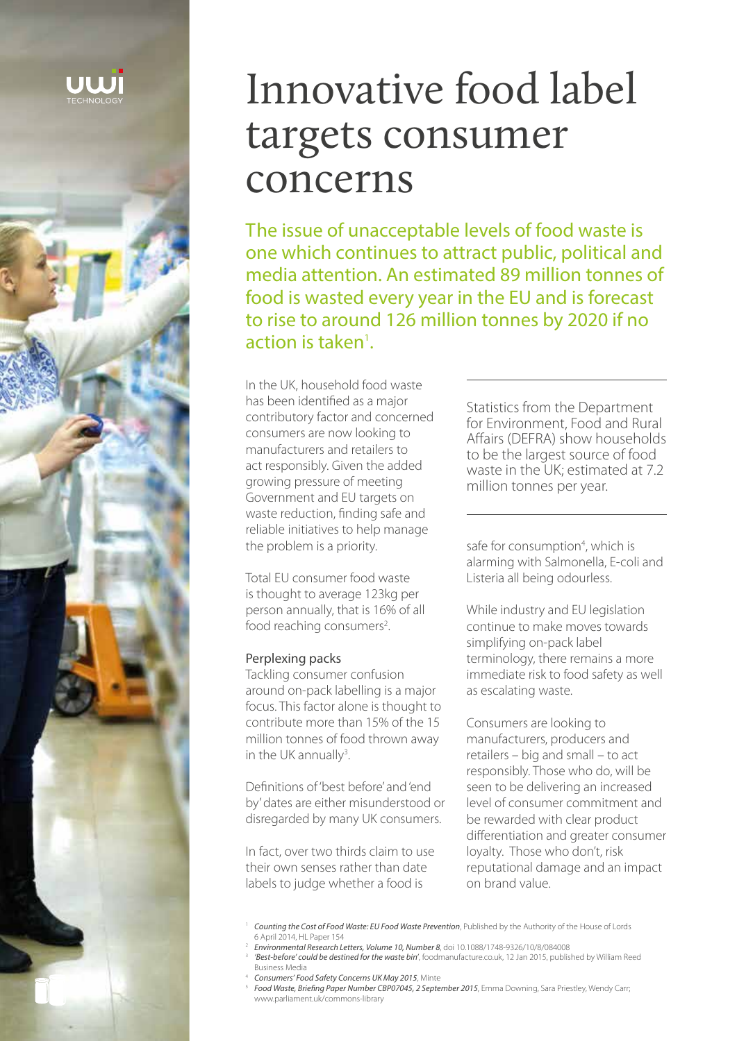

# Innovative food label targets consumer concerns

The issue of unacceptable levels of food waste is one which continues to attract public, political and media attention. An estimated 89 million tonnes of food is wasted every year in the EU and is forecast to rise to around 126 million tonnes by 2020 if no  $action$  is taken<sup>1</sup>.

In the UK, household food waste has been identified as a major contributory factor and concerned consumers are now looking to manufacturers and retailers to act responsibly. Given the added growing pressure of meeting Government and EU targets on waste reduction, finding safe and reliable initiatives to help manage the problem is a priority.

Total EU consumer food waste is thought to average 123kg per person annually, that is 16% of all food reaching consumers<sup>2</sup>. .

#### Perplexing packs

Tackling consumer confusion around on-pack labelling is a major focus. This factor alone is thought to contribute more than 15% of the 15 million tonnes of food thrown away in the UK annually<sup>3</sup>. .

Definitions of 'best before' and 'end by' dates are either misunderstood or disregarded by many UK consumers.

In fact, over two thirds claim to use their own senses rather than date labels to judge whether a food is

Statistics from the Department for Environment, Food and Rural Affairs (DEFRA) show households to be the largest source of food waste in the UK; estimated at 7.2 million tonnes per year.

safe for consumption<sup>4</sup>, which is alarming with Salmonella, E-coli and Listeria all being odourless.

While industry and EU legislation continue to make moves towards simplifying on-pack label terminology, there remains a more immediate risk to food safety as well as escalating waste.

Consumers are looking to manufacturers, producers and retailers – big and small – to act responsibly. Those who do, will be seen to be delivering an increased level of consumer commitment and be rewarded with clear product differentiation and greater consumer loyalty. Those who don't, risk reputational damage and an impact on brand value.

- <sup>2</sup> *Environmental Research Letters, Volume 10, Number 8*, doi 10.1088/1748-9326/10/8/084008
- 3 *'Best-before' could be destined for the waste bin'*, foodmanufacture.co.uk, 12 Jan 2015, published by William Reed Business Media
- <sup>4</sup> *Consumers' Food Safety Concerns UK May 2015*, Minte
- 5 *Food Waste, Briefing Paper Number CBP07045, 2 September 2015*, Emma Downing, Sara Priestley, Wendy Carr; www.parliament.uk/commons-library

<sup>1</sup> *Counting the Cost of Food Waste: EU Food Waste Prevention*, Published by the Authority of the House of Lords 6 April 2014, HL Paper 154